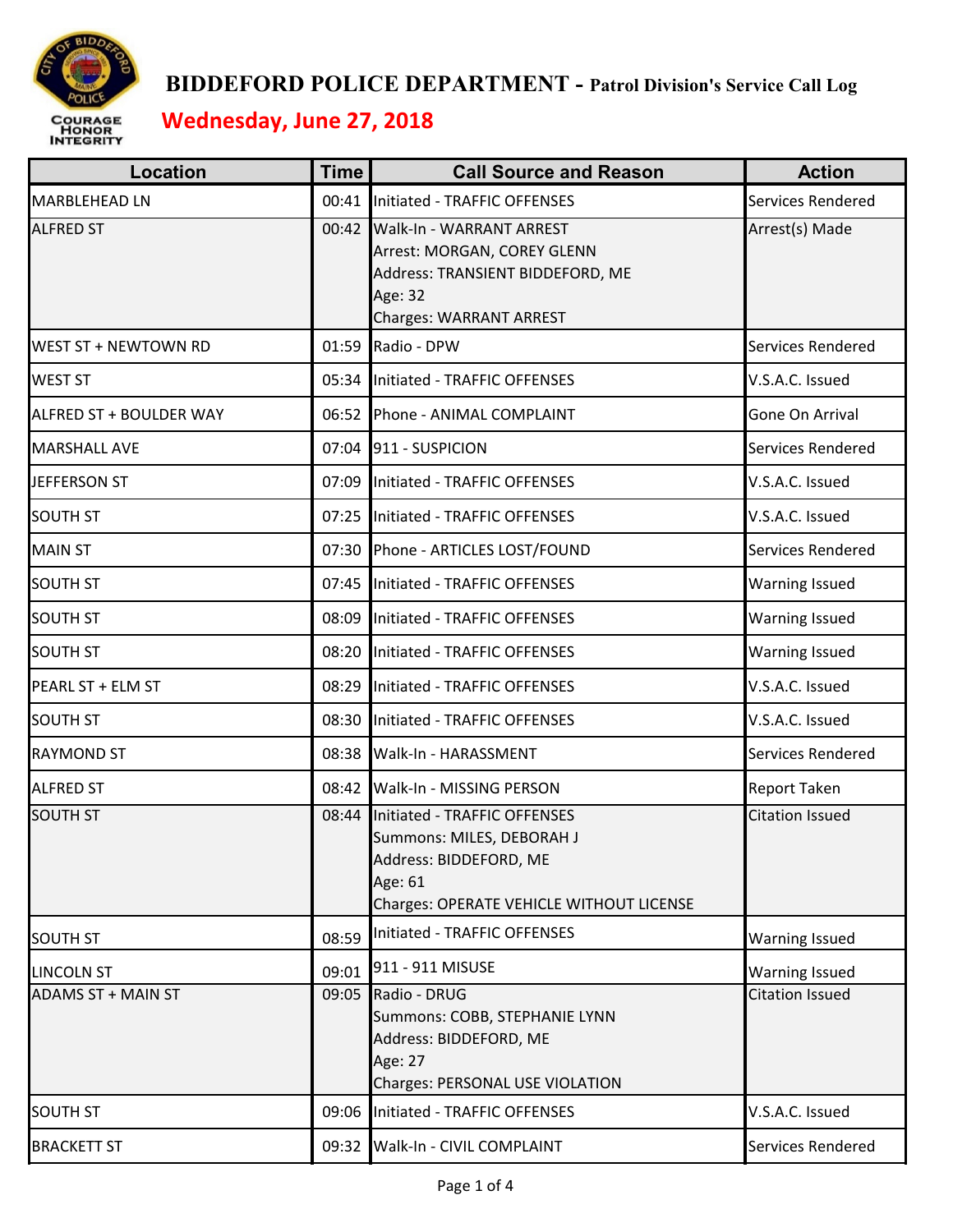

 **BIDDEFORD POLICE DEPARTMENT - Patrol Division's Service Call Log**

 **Wednesday, June 27, 2018**

| <b>Location</b>           | <b>Time</b> | <b>Call Source and Reason</b>                                                                                                                    | <b>Action</b>          |
|---------------------------|-------------|--------------------------------------------------------------------------------------------------------------------------------------------------|------------------------|
| <b>MARBLEHEAD LN</b>      |             | 00:41 Initiated - TRAFFIC OFFENSES                                                                                                               | Services Rendered      |
| <b>ALFRED ST</b>          |             | 00:42 Walk-In - WARRANT ARREST<br>Arrest: MORGAN, COREY GLENN<br>Address: TRANSIENT BIDDEFORD, ME<br>Age: 32<br><b>Charges: WARRANT ARREST</b>   | Arrest(s) Made         |
| WEST ST + NEWTOWN RD      |             | 01:59 Radio - DPW                                                                                                                                | Services Rendered      |
| <b>WEST ST</b>            |             | 05:34 Initiated - TRAFFIC OFFENSES                                                                                                               | V.S.A.C. Issued        |
| ALFRED ST + BOULDER WAY   |             | 06:52 Phone - ANIMAL COMPLAINT                                                                                                                   | Gone On Arrival        |
| <b>MARSHALL AVE</b>       |             | 07:04 911 - SUSPICION                                                                                                                            | Services Rendered      |
| <b>JEFFERSON ST</b>       |             | 07:09 Initiated - TRAFFIC OFFENSES                                                                                                               | V.S.A.C. Issued        |
| <b>SOUTH ST</b>           |             | 07:25 Initiated - TRAFFIC OFFENSES                                                                                                               | V.S.A.C. Issued        |
| <b>MAIN ST</b>            |             | 07:30 Phone - ARTICLES LOST/FOUND                                                                                                                | Services Rendered      |
| <b>SOUTH ST</b>           |             | 07:45 Initiated - TRAFFIC OFFENSES                                                                                                               | <b>Warning Issued</b>  |
| <b>SOUTH ST</b>           | 08:09       | Initiated - TRAFFIC OFFENSES                                                                                                                     | <b>Warning Issued</b>  |
| <b>SOUTH ST</b>           |             | 08:20 Initiated - TRAFFIC OFFENSES                                                                                                               | <b>Warning Issued</b>  |
| PEARL ST + ELM ST         |             | 08:29 Initiated - TRAFFIC OFFENSES                                                                                                               | V.S.A.C. Issued        |
| <b>SOUTH ST</b>           |             | 08:30 Initiated - TRAFFIC OFFENSES                                                                                                               | V.S.A.C. Issued        |
| <b>RAYMOND ST</b>         |             | 08:38 Walk-In - HARASSMENT                                                                                                                       | Services Rendered      |
| <b>ALFRED ST</b>          |             | 08:42 Walk-In - MISSING PERSON                                                                                                                   | <b>Report Taken</b>    |
| <b>SOUTH ST</b>           |             | 08:44 Initiated - TRAFFIC OFFENSES<br>Summons: MILES, DEBORAH J<br>Address: BIDDEFORD, ME<br>Age: 61<br>Charges: OPERATE VEHICLE WITHOUT LICENSE | <b>Citation Issued</b> |
| <b>SOUTH ST</b>           | 08:59       | Initiated - TRAFFIC OFFENSES                                                                                                                     | <b>Warning Issued</b>  |
| <b>LINCOLN ST</b>         | 09:01       | 911 - 911 MISUSE                                                                                                                                 | <b>Warning Issued</b>  |
| <b>ADAMS ST + MAIN ST</b> |             | 09:05 Radio - DRUG<br>Summons: COBB, STEPHANIE LYNN<br>Address: BIDDEFORD, ME<br>Age: 27<br>Charges: PERSONAL USE VIOLATION                      | <b>Citation Issued</b> |
| <b>SOUTH ST</b>           |             | 09:06 Initiated - TRAFFIC OFFENSES                                                                                                               | V.S.A.C. Issued        |
| <b>BRACKETT ST</b>        |             | 09:32 Walk-In - CIVIL COMPLAINT                                                                                                                  | Services Rendered      |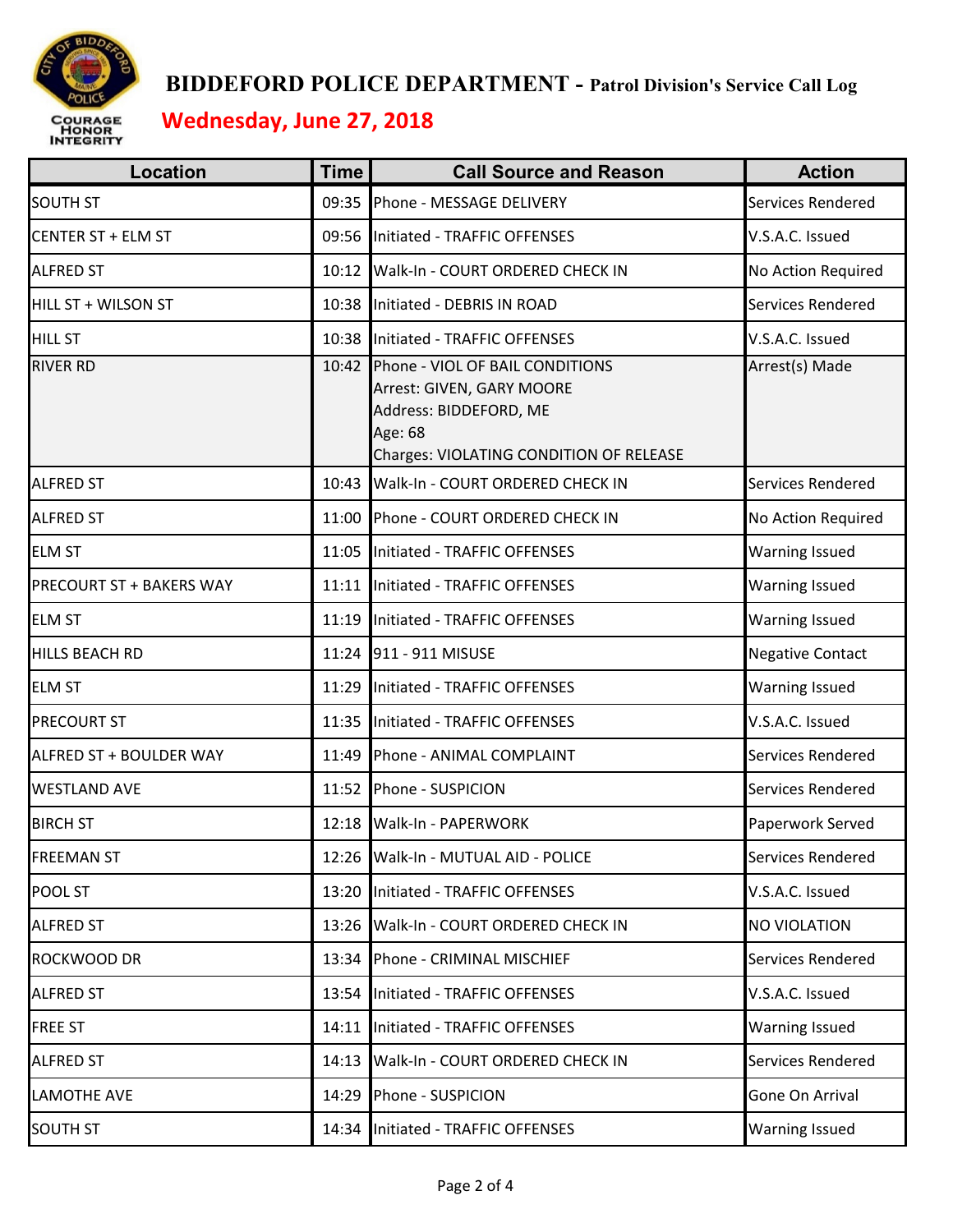

## **BIDDEFORD POLICE DEPARTMENT - Patrol Division's Service Call Log Wednesday, June 27, 2018**

| <b>Location</b>                 | <b>Time</b> | <b>Call Source and Reason</b>                                                                                                                | <b>Action</b>           |
|---------------------------------|-------------|----------------------------------------------------------------------------------------------------------------------------------------------|-------------------------|
| <b>SOUTH ST</b>                 | 09:35       | Phone - MESSAGE DELIVERY                                                                                                                     | Services Rendered       |
| <b>CENTER ST + ELM ST</b>       | 09:56       | Initiated - TRAFFIC OFFENSES                                                                                                                 | V.S.A.C. Issued         |
| <b>ALFRED ST</b>                | 10:12       | Walk-In - COURT ORDERED CHECK IN                                                                                                             | No Action Required      |
| HILL ST + WILSON ST             | 10:38       | Initiated - DEBRIS IN ROAD                                                                                                                   | Services Rendered       |
| <b>HILL ST</b>                  | 10:38       | Initiated - TRAFFIC OFFENSES                                                                                                                 | V.S.A.C. Issued         |
| <b>RIVER RD</b>                 | 10:42       | Phone - VIOL OF BAIL CONDITIONS<br>Arrest: GIVEN, GARY MOORE<br>Address: BIDDEFORD, ME<br>Age: 68<br>Charges: VIOLATING CONDITION OF RELEASE | Arrest(s) Made          |
| <b>ALFRED ST</b>                | 10:43       | Walk-In - COURT ORDERED CHECK IN                                                                                                             | Services Rendered       |
| <b>ALFRED ST</b>                | 11:00       | Phone - COURT ORDERED CHECK IN                                                                                                               | No Action Required      |
| <b>ELM ST</b>                   | 11:05       | Initiated - TRAFFIC OFFENSES                                                                                                                 | <b>Warning Issued</b>   |
| <b>PRECOURT ST + BAKERS WAY</b> | 11:11       | Initiated - TRAFFIC OFFENSES                                                                                                                 | <b>Warning Issued</b>   |
| <b>ELM ST</b>                   | 11:19       | Initiated - TRAFFIC OFFENSES                                                                                                                 | <b>Warning Issued</b>   |
| <b>HILLS BEACH RD</b>           | 11:24       | 911 - 911 MISUSE                                                                                                                             | <b>Negative Contact</b> |
| <b>ELM ST</b>                   | 11:29       | Initiated - TRAFFIC OFFENSES                                                                                                                 | <b>Warning Issued</b>   |
| <b>PRECOURT ST</b>              | 11:35       | Initiated - TRAFFIC OFFENSES                                                                                                                 | V.S.A.C. Issued         |
| ALFRED ST + BOULDER WAY         | 11:49       | Phone - ANIMAL COMPLAINT                                                                                                                     | Services Rendered       |
| <b>WESTLAND AVE</b>             | 11:52       | Phone - SUSPICION                                                                                                                            | Services Rendered       |
| <b>BIRCH ST</b>                 | 12:18       | Walk-In - PAPERWORK                                                                                                                          | Paperwork Served        |
| <b>FREEMAN ST</b>               |             | 12:26 Walk-In - MUTUAL AID - POLICE                                                                                                          | Services Rendered       |
| <b>POOL ST</b>                  | 13:20       | Initiated - TRAFFIC OFFENSES                                                                                                                 | V.S.A.C. Issued         |
| <b>ALFRED ST</b>                | 13:26       | Walk-In - COURT ORDERED CHECK IN                                                                                                             | <b>NO VIOLATION</b>     |
| ROCKWOOD DR                     | 13:34       | Phone - CRIMINAL MISCHIEF                                                                                                                    | Services Rendered       |
| <b>ALFRED ST</b>                | 13:54       | Initiated - TRAFFIC OFFENSES                                                                                                                 | V.S.A.C. Issued         |
| <b>FREE ST</b>                  | 14:11       | Initiated - TRAFFIC OFFENSES                                                                                                                 | <b>Warning Issued</b>   |
| <b>ALFRED ST</b>                | 14:13       | Walk-In - COURT ORDERED CHECK IN                                                                                                             | Services Rendered       |
| <b>LAMOTHE AVE</b>              | 14:29       | Phone - SUSPICION                                                                                                                            | Gone On Arrival         |
| <b>SOUTH ST</b>                 | 14:34       | Initiated - TRAFFIC OFFENSES                                                                                                                 | <b>Warning Issued</b>   |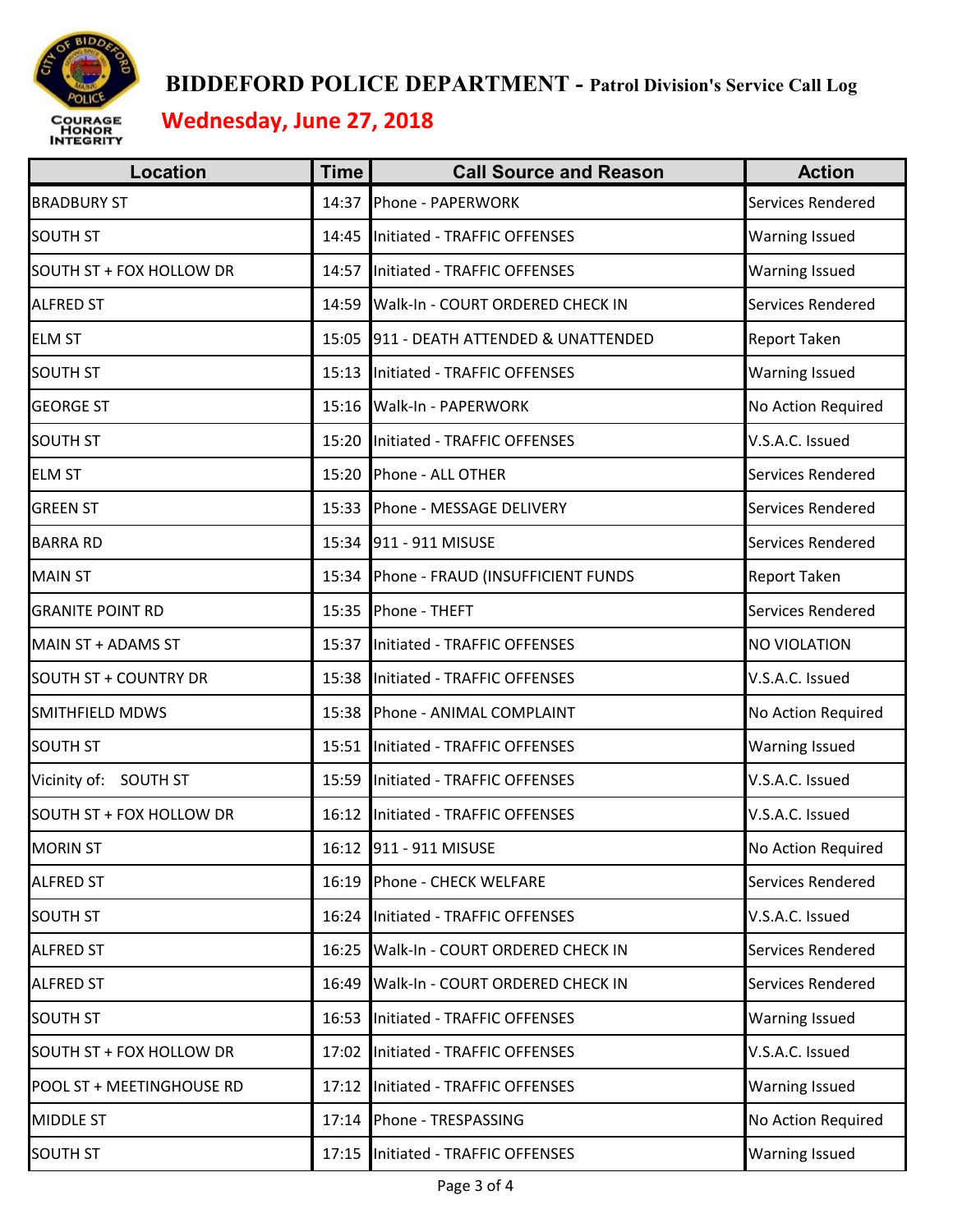

## **BIDDEFORD POLICE DEPARTMENT - Patrol Division's Service Call Log Wednesday, June 27, 2018**

| <b>Location</b>              | <b>Time</b> | <b>Call Source and Reason</b>     | <b>Action</b>         |
|------------------------------|-------------|-----------------------------------|-----------------------|
| <b>BRADBURY ST</b>           | 14:37       | Phone - PAPERWORK                 | Services Rendered     |
| <b>SOUTH ST</b>              | 14:45       | Initiated - TRAFFIC OFFENSES      | Warning Issued        |
| SOUTH ST + FOX HOLLOW DR     | 14:57       | Initiated - TRAFFIC OFFENSES      | <b>Warning Issued</b> |
| <b>ALFRED ST</b>             | 14:59       | Walk-In - COURT ORDERED CHECK IN  | Services Rendered     |
| <b>ELM ST</b>                | 15:05       | 911 - DEATH ATTENDED & UNATTENDED | <b>Report Taken</b>   |
| <b>SOUTH ST</b>              | 15:13       | Initiated - TRAFFIC OFFENSES      | <b>Warning Issued</b> |
| <b>GEORGE ST</b>             | 15:16       | Walk-In - PAPERWORK               | No Action Required    |
| <b>SOUTH ST</b>              | 15:20       | Initiated - TRAFFIC OFFENSES      | V.S.A.C. Issued       |
| <b>ELM ST</b>                | 15:20       | Phone - ALL OTHER                 | Services Rendered     |
| <b>GREEN ST</b>              | 15:33       | Phone - MESSAGE DELIVERY          | Services Rendered     |
| <b>BARRA RD</b>              | 15:34       | 911 - 911 MISUSE                  | Services Rendered     |
| <b>MAIN ST</b>               | 15:34       | Phone - FRAUD (INSUFFICIENT FUNDS | <b>Report Taken</b>   |
| <b>GRANITE POINT RD</b>      | 15:35       | Phone - THEFT                     | Services Rendered     |
| MAIN ST + ADAMS ST           | 15:37       | Initiated - TRAFFIC OFFENSES      | <b>NO VIOLATION</b>   |
| <b>SOUTH ST + COUNTRY DR</b> | 15:38       | Initiated - TRAFFIC OFFENSES      | V.S.A.C. Issued       |
| <b>SMITHFIELD MDWS</b>       | 15:38       | Phone - ANIMAL COMPLAINT          | No Action Required    |
| <b>SOUTH ST</b>              | 15:51       | Initiated - TRAFFIC OFFENSES      | <b>Warning Issued</b> |
| Vicinity of: SOUTH ST        | 15:59       | Initiated - TRAFFIC OFFENSES      | V.S.A.C. Issued       |
| SOUTH ST + FOX HOLLOW DR     | 16:12       | Initiated - TRAFFIC OFFENSES      | V.S.A.C. Issued       |
| <b>MORIN ST</b>              |             | 16:12 911 - 911 MISUSE            | No Action Required    |
| <b>ALFRED ST</b>             | 16:19       | Phone - CHECK WELFARE             | Services Rendered     |
| <b>SOUTH ST</b>              | 16:24       | Initiated - TRAFFIC OFFENSES      | V.S.A.C. Issued       |
| <b>ALFRED ST</b>             | 16:25       | Walk-In - COURT ORDERED CHECK IN  | Services Rendered     |
| <b>ALFRED ST</b>             | 16:49       | Walk-In - COURT ORDERED CHECK IN  | Services Rendered     |
| <b>SOUTH ST</b>              | 16:53       | Initiated - TRAFFIC OFFENSES      | Warning Issued        |
| SOUTH ST + FOX HOLLOW DR     | 17:02       | Initiated - TRAFFIC OFFENSES      | V.S.A.C. Issued       |
| POOL ST + MEETINGHOUSE RD    | 17:12       | Initiated - TRAFFIC OFFENSES      | Warning Issued        |
| <b>MIDDLE ST</b>             | 17:14       | Phone - TRESPASSING               | No Action Required    |
| <b>SOUTH ST</b>              | 17:15       | Initiated - TRAFFIC OFFENSES      | <b>Warning Issued</b> |